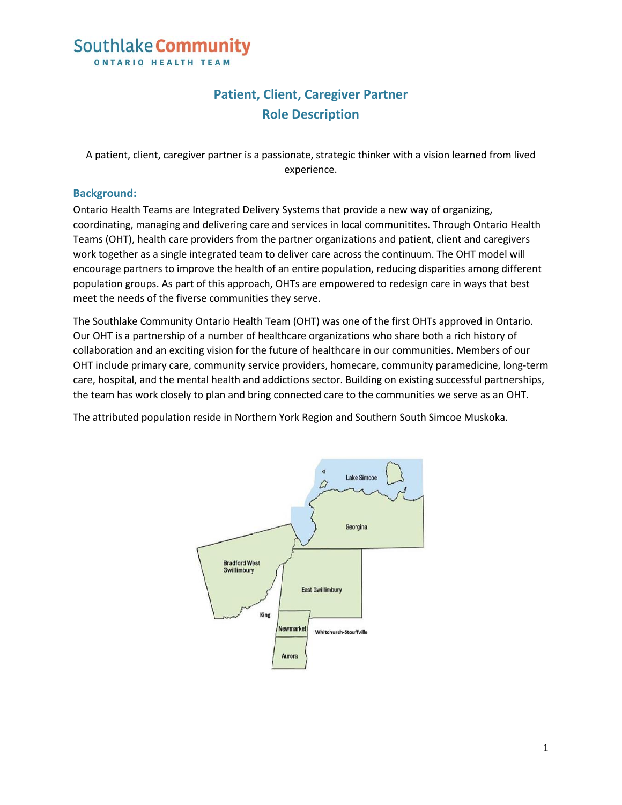### Southlake Community **ONTARIO HEALTH TEAM**

### **Patient, Client, Caregiver Partner Role Description**

A patient, client, caregiver partner is a passionate, strategic thinker with a vision learned from lived experience.

#### **Background:**

Ontario Health Teams are Integrated Delivery Systems that provide a new way of organizing, coordinating, managing and delivering care and services in local communitites. Through Ontario Health Teams (OHT), health care providers from the partner organizations and patient, client and caregivers work together as a single integrated team to deliver care across the continuum. The OHT model will encourage partners to improve the health of an entire population, reducing disparities among different population groups. As part of this approach, OHTs are empowered to redesign care in ways that best meet the needs of the fiverse communities they serve.

The Southlake Community Ontario Health Team (OHT) was one of the first OHTs approved in Ontario. Our OHT is a partnership of a number of healthcare organizations who share both a rich history of collaboration and an exciting vision for the future of healthcare in our communities. Members of our OHT include primary care, community service providers, homecare, community paramedicine, long-term care, hospital, and the mental health and addictions sector. Building on existing successful partnerships, the team has work closely to plan and bring connected care to the communities we serve as an OHT.

The attributed population reside in Northern York Region and Southern South Simcoe Muskoka.

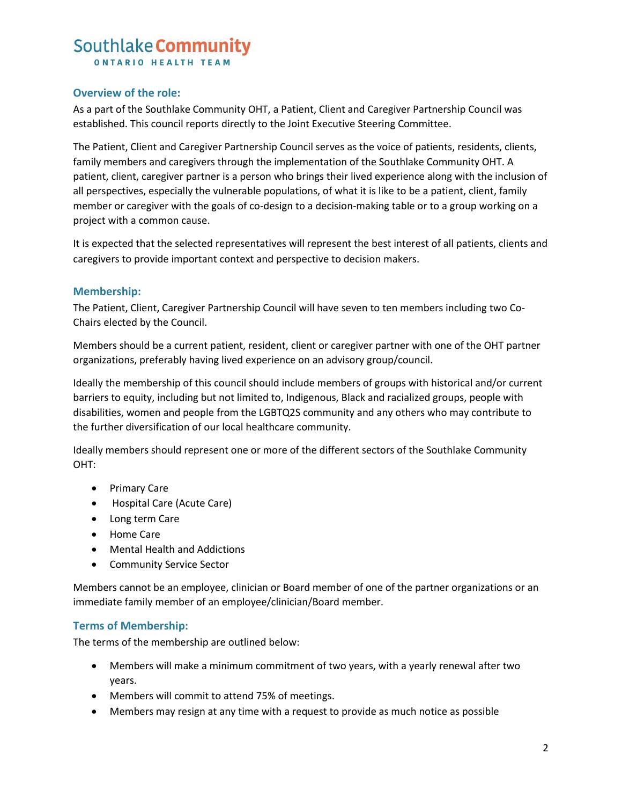# Southlake Community

**ONTARIO HEALTH TEAM** 

#### **Overview of the role:**

As a part of the Southlake Community OHT, a Patient, Client and Caregiver Partnership Council was established. This council reports directly to the Joint Executive Steering Committee.

The Patient, Client and Caregiver Partnership Council serves as the voice of patients, residents, clients, family members and caregivers through the implementation of the Southlake Community OHT. A patient, client, caregiver partner is a person who brings their lived experience along with the inclusion of all perspectives, especially the vulnerable populations, of what it is like to be a patient, client, family member or caregiver with the goals of co-design to a decision-making table or to a group working on a project with a common cause.

It is expected that the selected representatives will represent the best interest of all patients, clients and caregivers to provide important context and perspective to decision makers.

#### **Membership:**

The Patient, Client, Caregiver Partnership Council will have seven to ten members including two Co-Chairs elected by the Council.

Members should be a current patient, resident, client or caregiver partner with one of the OHT partner organizations, preferably having lived experience on an advisory group/council.

Ideally the membership of this council should include members of groups with historical and/or current barriers to equity, including but not limited to, Indigenous, Black and racialized groups, people with disabilities, women and people from the LGBTQ2S community and any others who may contribute to the further diversification of our local healthcare community.

Ideally members should represent one or more of the different sectors of the Southlake Community OHT:

- Primary Care
- Hospital Care (Acute Care)
- Long term Care
- Home Care
- Mental Health and Addictions
- Community Service Sector

Members cannot be an employee, clinician or Board member of one of the partner organizations or an immediate family member of an employee/clinician/Board member.

#### **Terms of Membership:**

The terms of the membership are outlined below:

- Members will make a minimum commitment of two years, with a yearly renewal after two years.
- Members will commit to attend 75% of meetings.
- Members may resign at any time with a request to provide as much notice as possible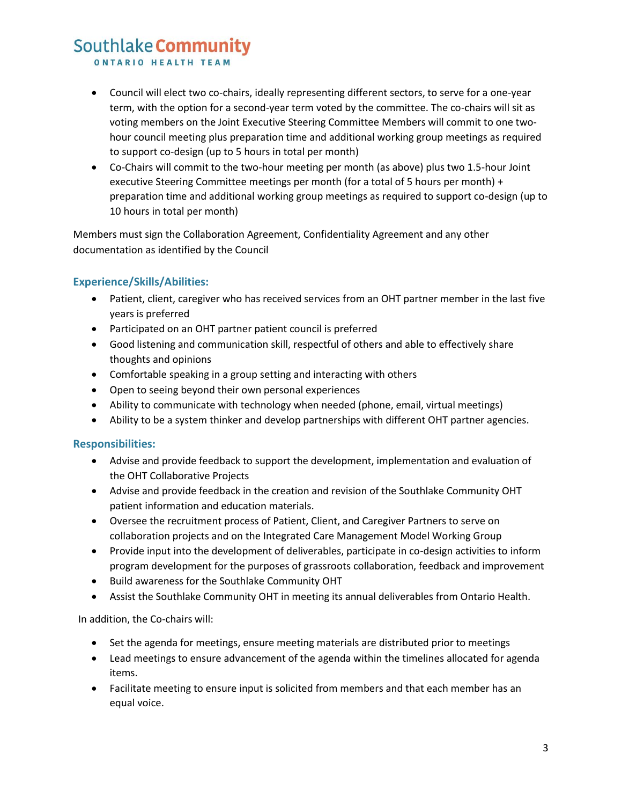## Southlake Community

**ONTARIO HEALTH TEAM** 

- Council will elect two co-chairs, ideally representing different sectors, to serve for a one-year term, with the option for a second-year term voted by the committee. The co-chairs will sit as voting members on the Joint Executive Steering Committee Members will commit to one twohour council meeting plus preparation time and additional working group meetings as required to support co-design (up to 5 hours in total per month)
- Co-Chairs will commit to the two-hour meeting per month (as above) plus two 1.5-hour Joint executive Steering Committee meetings per month (for a total of 5 hours per month) + preparation time and additional working group meetings as required to support co-design (up to 10 hours in total per month)

Members must sign the Collaboration Agreement, Confidentiality Agreement and any other documentation as identified by the Council

#### **Experience/Skills/Abilities:**

- Patient, client, caregiver who has received services from an OHT partner member in the last five years is preferred
- Participated on an OHT partner patient council is preferred
- Good listening and communication skill, respectful of others and able to effectively share thoughts and opinions
- Comfortable speaking in a group setting and interacting with others
- Open to seeing beyond their own personal experiences
- Ability to communicate with technology when needed (phone, email, virtual meetings)
- Ability to be a system thinker and develop partnerships with different OHT partner agencies.

#### **Responsibilities:**

- Advise and provide feedback to support the development, implementation and evaluation of the OHT Collaborative Projects
- Advise and provide feedback in the creation and revision of the Southlake Community OHT patient information and education materials.
- Oversee the recruitment process of Patient, Client, and Caregiver Partners to serve on collaboration projects and on the Integrated Care Management Model Working Group
- Provide input into the development of deliverables, participate in co-design activities to inform program development for the purposes of grassroots collaboration, feedback and improvement
- Build awareness for the Southlake Community OHT
- Assist the Southlake Community OHT in meeting its annual deliverables from Ontario Health.

In addition, the Co-chairs will:

- Set the agenda for meetings, ensure meeting materials are distributed prior to meetings
- Lead meetings to ensure advancement of the agenda within the timelines allocated for agenda items.
- Facilitate meeting to ensure input is solicited from members and that each member has an equal voice.